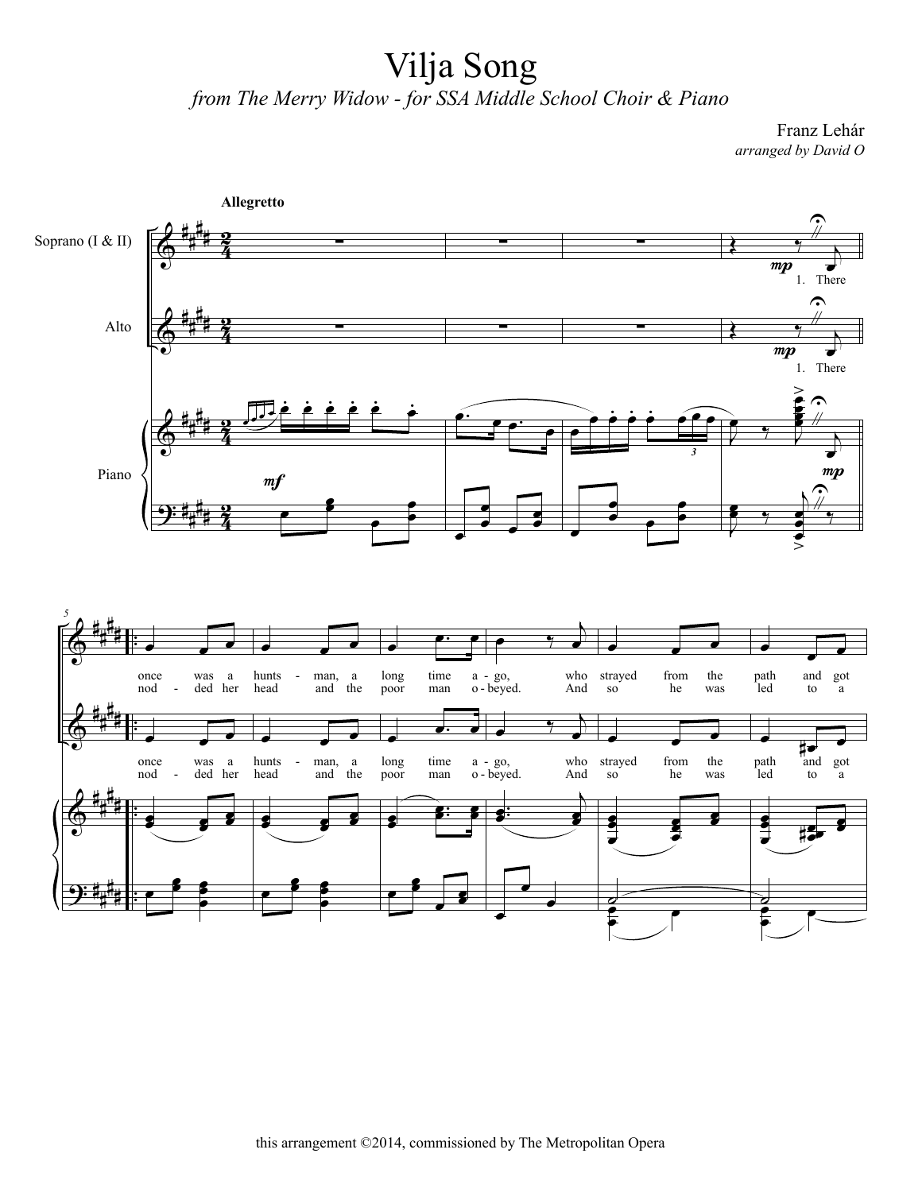## Vilja Song *from The Merry Widow - for SSA Middle School Choir & Piano*

Franz Lehár *arranged by David O*

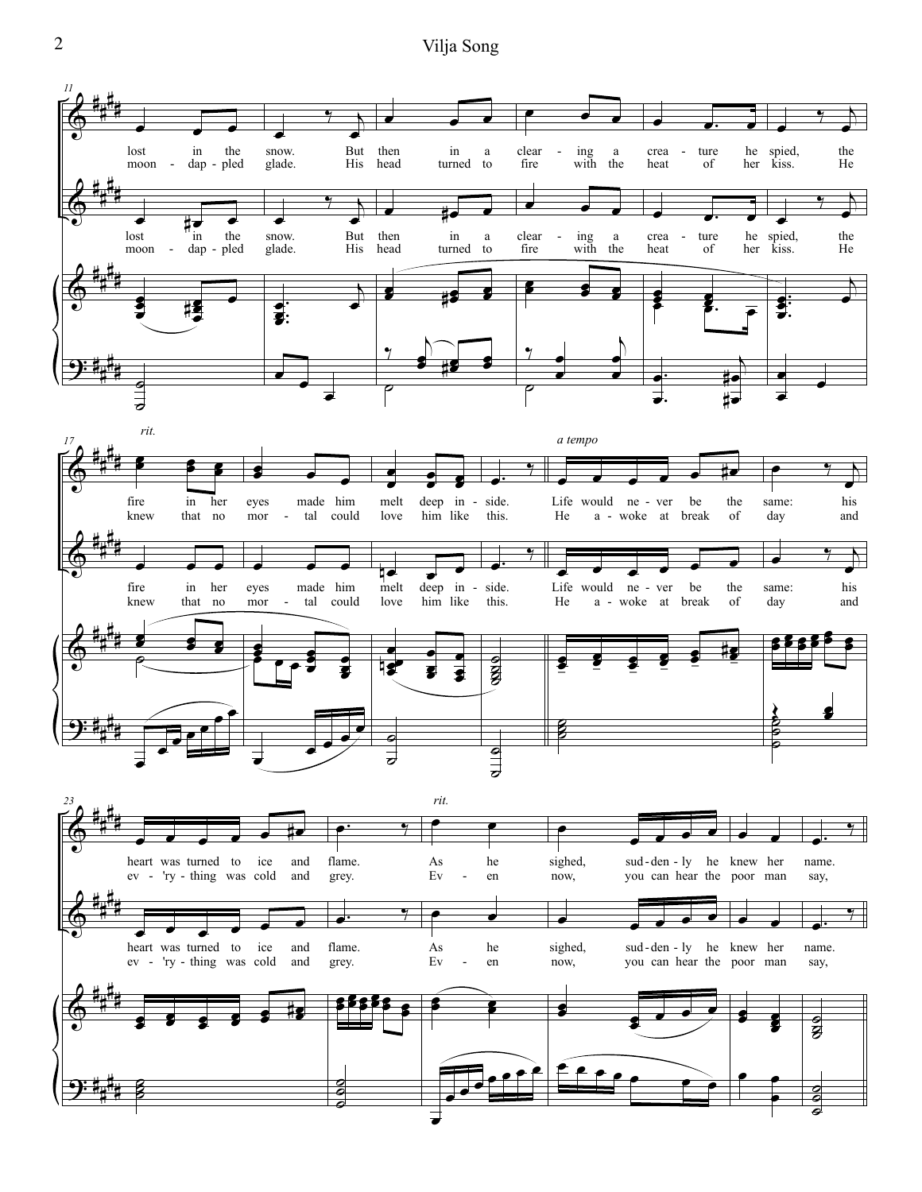2 Vilja Song

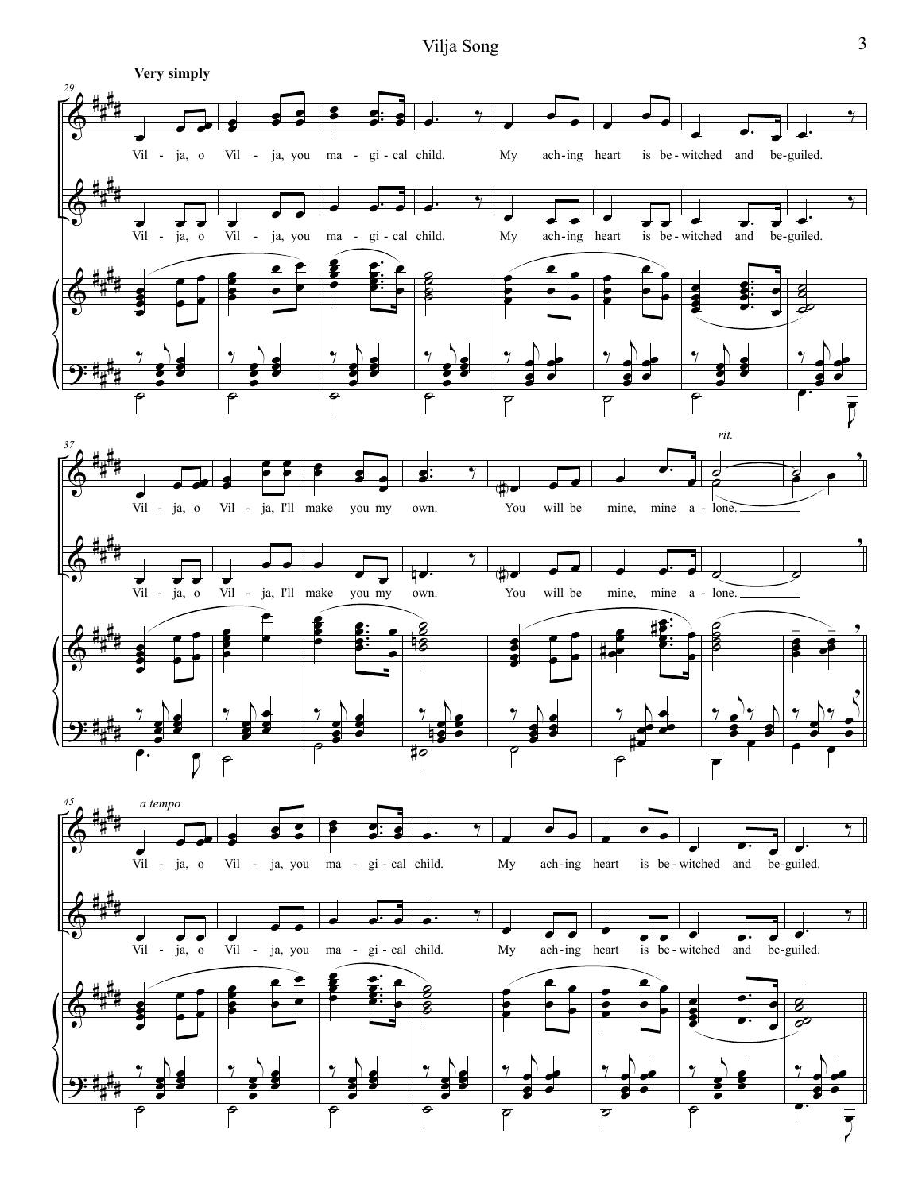